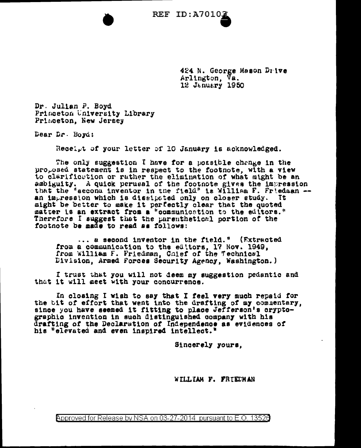424 N. George Mason Drive Arlington, Va. 12 January 1950

Dr. Julian P. Boyd Princeton University Library Princeton, New Jersey

Dear Dr. Boyd:

Receipt of your letter of 10 January is acknowledged.

The only suggestion I have for a possible change in the proposed statement is in respect to the footnote, with a view to clarification or rather the elimination of what might be an ambiguity. A quick perusal of the footnote gives the impression that the "second inventor in the field" is William F. Friedman -an impression which is dissipated only on closer study. Tt. might be better to make it perfectly clear that the quoted matter is an extract from a "communication to the editors." Therefore I suggest that the parenthetical portion of the footnote be made to read as follows:

... a second inventor in the field." (Extracted from a communication to the editors, 17 Nov. 1949, from William F. Friedman, Colef of the Technical Division, Armed Forces Security Agency, Washington.)

I trust that you will not deem my suggestion pedantic and that it will geet with your concurrence.

In closing I wish to say that I feel very much repaid for the tit of effort that went into the drafting of my commentary, since you have seemed it fitting to place Jefferson's crypto-<br>graphic invention in such distinguished company with his drafting of the Declaration of Independence as evidences of his "elevated and even inspired intellect."

Sincerely yours.

WILLIAM F. FRIEDMAN

Approved for Release by NSA on 03-27-2014 pursuant to E.O. 13526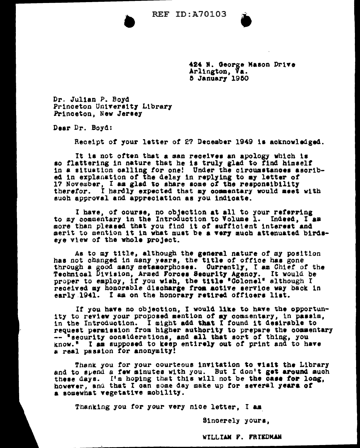

424 N. George Mason Drive Arlington, Va. 5 January 1950

Dr. Julian P. Boyd Princeton University Library Princeton, New Jersey

Dear Dr. Boyd:

Receipt of your letter of 27 December 1949 is acknowledged.

It is not often that a man receives an apology which is so flattering in nature that he is truly glad to find himself in a situation calling for one! Under the circumstances asoribed in explanation of the delay in replying to my letter of 17 November, I am glad to share some of the responsibility therefor. I hardly expected that my commentary would meet with such approval and appreciation as you indicate.

I have, of course, no objection at all to your referring to my commentary in the Introduction to Volume 1. Indeed, I am more than pleased that you find it of sufficient interest and merit to mention it in what must be a very much attenuated birdseye view of the whole project.

As to my title, although the general nature of my position has not changed in many years, the title of office has gone through a good many metamorphoses. Currently, I am Chief of the Technical Division, Armed Forces Security Agency. It would be proper to employ, if you wish, the title "Colonel" although I received my honorable discharge from active service way back in early 1941. I am on the honorary retired officers list.

If you have no objection. I would like to have the opportunity to review your proposed mention of my commentary, in passim. in the Introduction. I might add that I found it desirable to request permission from higher authority to prepare the commentary -- "security considerations, and all that sort of thing, you know." I as supposed to keep entirely out of print and to have a real passion for anonymity!

Thank you for your courteous invitation to visit the Library and to spend a few minutes with you. But I don't get around much these days. I'm hoping that this will not be the case for long, however, and that I can some day make up for several years of a somewhat vegetative mobility.

Thanking you for your very nice letter. I am

Sincerely yours,

WILLIAM F. FRIEDMAN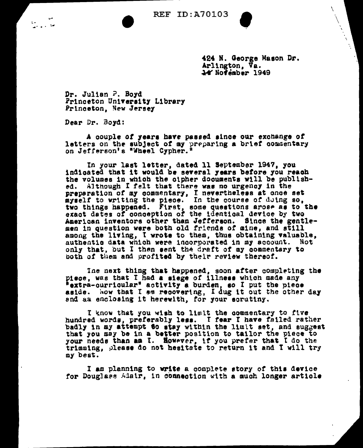N

424 N. George Mason Dr. Arlington, Va. 14 November 1949

Dr. Julian P. Boyd Princeton University Library Princeton, New Jersey

Dear Dr. Boyd:

A couple of years have passed since our exchange of letters on the subject of my preparing a brief commentary on Jefferson's "Wheel Cypher."

In your last letter, dated 11 September 1947, you indigated that it would be several years before you reach the volumes in which the cipher documents will be published. Although I felt that there was no urgency in the preparation of my commentary, I nevertheless at once set<br>myself to writing the piece. In the course of doing so,<br>two things happened. First, some questions arose as to the<br>exact dates of conception of the identical device American inventors other than Jefferson. Since the gentlemen in question were both old friends of mine, and still among the living, I wrote to them, thus obtaining valuable, authentic data which were incorporated in my account. Not only that, but I then sent the draft of my commentary to both of them and profited by their review thereof.

The next thing that happened, soon after completing the piece, was that I had a siege of illness which made any "extra-curricular" activity a burden, so I put the piece aside. Now that I am recovering, I dug it out the other day and an enclosing it herewith, for your scrutiny.

I know that you wish to limit the commentary to five<br>hundred words, preferably less. I fear I have failed rather badly in my attempt to stay within the limit set, and suggest that you may be in a better position to tailor the piece to your needs than an I. However, if you prefer that I do the trimming, please do not hesitate to return it and I will try my best.

I am planning to write a complete story of this device for Douglass Adair, in connection with a much longer article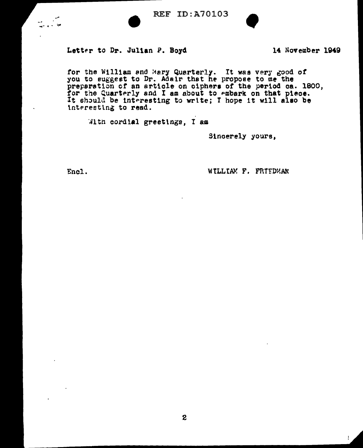



## Letter to Dr. Julian P. Boyd

14 November 1949

for the William and Mary Quarterly. It was very good of you to suggest to Dr. Adair that he propose to me the preparation of an article on ciphers of the period ca. 1800, for the Quarterly and I am about to embark on that piece.<br>It should be interesting to write; I hope it will also be interesting to read.

With cordial greetings. I am

Sincerely yours.

Encl.

WILLIAM F. FRIEDMAN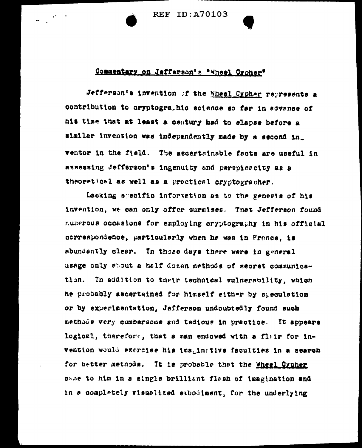**REF ID: A70103** 

## Commentary on Jefferson's \*Wheel Croher\*

Jefferson's invention of the Wheel Cypher represents a contribution to cryptogrs, his science so far in advance of his time that at least a century had to elapse before a similar invention was independently made by a second in\_ ventor in the field. The ascertainable facts are useful in assessing Jefferson's ingenuity and perspicacity as a theoretical as well as a practical cryptographer.

Lacking specific information as to the genesis of his invention, we can only offer surmises. That Jefferson found numerous occasions for employing cryptography in his official correspondence, particularly when he was in France, is abundantly clear. In those days there were in general usage only about a half dozen methods of secret communication. In addition to their technical vulnerability, which he probably ascertained for hisself either by speculation or by experimentation, Jefferson undoubtedly found such methods very cumbersome and tedious in practice. It appears logical, therefore, that a man endowed with a flair for invention would exercise his imaginative faculties in a search for better methods. It is probable that the Wheel Cypher came to him in a single brilliant flash of imagination and in a complately visualized embodiment, for the underlying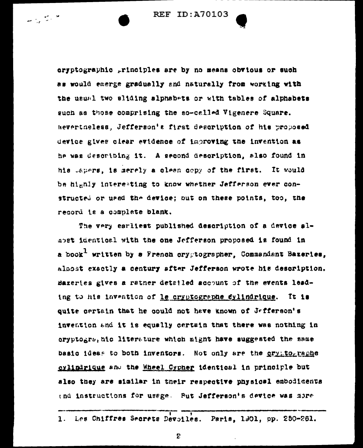eryptographic principles are by no means obvious or such as would emerge gradually and naturally from working with the usual two sliding alphabets or with tables of alphabets guch as those comprising the so-called Vigenere Square. Nevertheless. Jefferson's first description of his proposed device gives clear evidence of improving the invention as he was describing it. A second description, also found in his Japers, is merely a clean copy of the first. It would be highly interesting to know whether Jefferson ever constructed or used the device; out on these points, too, the record is a complete blank.

The very earliest published description of a device almost identical with the one Jefferson proposed is found in a book<sup>1</sup> written by a French crygtographer, Commandant Bazeries, almost exactly a century after Jefferson wrote his description. Bazeries gives a rather detailed account of the events leading to his invention of le cryptographe dylindrique. It is quite certain that he could not have known of Jefferson's invention and it is equally certain that there was nothing in oryptogrs, aic literature which might have suggested the same basic ideas to both inventors. Not only are the cryptographe cylindrique and the Wheel Cypher identical in principle but also they are similar in their respective physical embodiments end instructions for usage. Put Jefferson's device was more

Les Chiffres Secrets Devoiles. Paris, 1901, pp. 250-261.  $\mathbf{1}$ .

2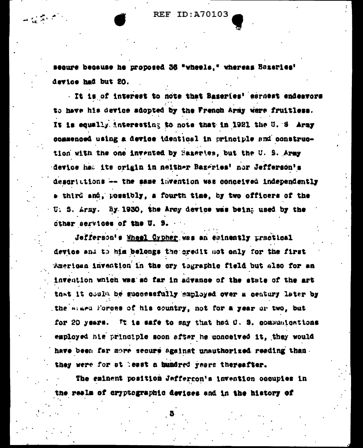secure because he proposed 36 "wheels." whereas Bazeries' device had but 20.

 $\mathbf{u} \in \mathbb{R}^{n \times n}$ 

It is of interest to note that Baseries' esrnest endeavors to have his device adopted by the French Army were fruitless. It is equally interesting to note that in 1921 the U. S Army commenced using a device identical in principle and construction with the one invented by Bazartes, but the U. S. Army device hat its crigin in neither Bazeries' nor Jefferson's descrittions -- the same lavention was conceived independently a third and, possibly, a fourth time, by two officers of the U. S. Army. By 1930, the Army device was being used by the other services of the U. S.

Jefferson's Wheel Cypher was an eminently uractical device and to him belongs the credit not only for the first American invention in the cry tographic field but also for an invention which was so far in advance of the state of the art that it could be successfully employed over a century later by the magn forces of his country, not for a year or two, but for 20 years. It is safe to say that had O. S. communications employed his principle soon after he conceived it, they would have been far more secure against unauthorized reading than they were for at least a bundred years thereafter.

The eminent position Jeffergon's invention occupies in the reals of cryptographic devices and in the history of